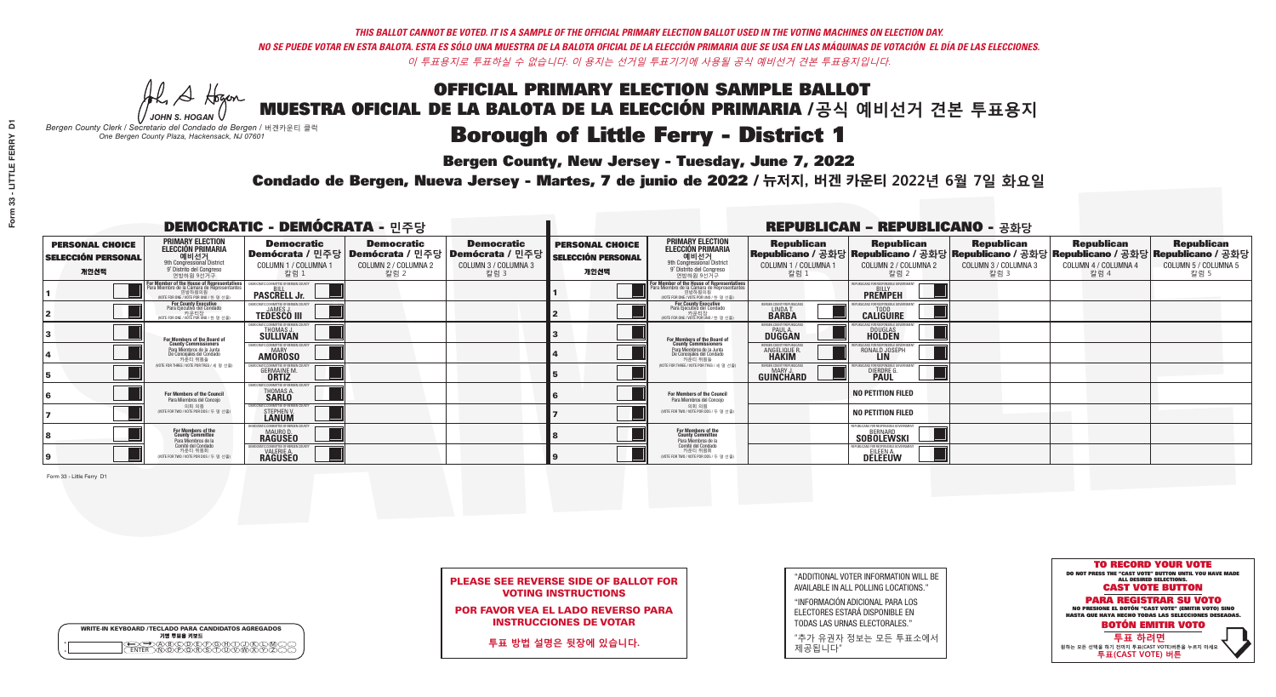A Hogen

| <b>WRITE-IN KEYBOARD /TECLADO PARA CANDIDATOS AGREGADOS</b><br>기명 투표용 키보드 |  |
|---------------------------------------------------------------------------|--|
| <del>∑⊇</del> @®©®©©®®©™<br>™™™®®®®®©™™®<br><b>FNTFR</b>                  |  |

### OFFICIAL PRIMARY ELECTION SAMPLE BALLOT MUESTRA OFICIAL DE LA BALOTA DE LA ELECCIÓN PRIMARIA /**공식 예비선거 견본 투표용지**

# **Borough of Little Ferry - District 1**

**Bergen County, New Jersey - Tuesday, June 7, 2022** 

*JOHN S. HOGAN Bergen County Clerk / Secretario del Condado de Bergen /* 버겐카운티 클럭 *One Bergen County Plaza, Hackensack, NJ 07601*



PLEASE SEE REVERSE SIDE OF BALLOT FOR VOTING INSTRUCTIONS

POR FAVOR VEA EL LADO REVERSO PARA INSTRUCCIONES DE VOTAR

**투표 방법 설명은 뒷장에 있습니다.**

"ADDITIONAL VOTER INFORMATION WILL BE AVAILABLE IN ALL POLLING LOCATIONS."

"INFORMACIÓN ADICIONAL PARA LOS ELECTORES ESTARÁ DISPONIBLE EN TODAS LAS URNAS ELECTORALES."

"추가 유권자 정보는 모든 투표소에서 제공됩니다"

Condado de Bergen, Nueva Jersey - Martes, 7 de junio de 2022 / 뉴저지, 버겐 카운티 2022년 6월 7일 화요일 *One Bergen County Plaza, Hackensack, NJ 07601*

| <b>DEMOCRATIC - DEMÓCRATA - 민주당</b>                         |                                                                                                                                             |                                                                        |                                                   |                                                                                                        |                                                             | <b>REPUBLICAN - REPUBLICANO - 공화당</b>                                                                                                       |                                                            |                                                                                                                                                |                                                   |                                                   |                                                   |  |
|-------------------------------------------------------------|---------------------------------------------------------------------------------------------------------------------------------------------|------------------------------------------------------------------------|---------------------------------------------------|--------------------------------------------------------------------------------------------------------|-------------------------------------------------------------|---------------------------------------------------------------------------------------------------------------------------------------------|------------------------------------------------------------|------------------------------------------------------------------------------------------------------------------------------------------------|---------------------------------------------------|---------------------------------------------------|---------------------------------------------------|--|
| <b>PERSONAL CHOICE</b><br><b>SELECCIÓN PERSONAL</b><br>개인선택 | <b>PRIMARY ELECTION</b><br><b>ELECCIÓN PRIMARIA</b><br>예비선거<br>9th Congressional District<br>9° Distrito del Congreso<br>연방하원 9선거구          | <b>Democratic</b><br>COLUMN 1 / COLUMNA 1<br>칼럼 :                      | <b>Democratic</b><br>COLUMN 2 / COLUMNA 2<br>칼럼 2 | <b>Democratic</b><br>│Demócrata / 민주당│Demócrata / 민주당│Demócrata / 민주당│<br>COLUMN 3 / COLUMNA 3<br>칼럼 3 | <b>PERSONAL CHOICE</b><br><b>SELECCIÓN PERSONAL</b><br>개인선택 | <b>PRIMARY ELECTION</b><br><b>ELECCIÓN PRIMARIA</b><br><u>. 예비선거</u><br>9th Congressional District<br>9° Distrito del Congreso<br>연방하원 9선거구 | <b>Republican</b><br>COLUMN 1 / COLUMNA 1<br>칼럼 1          | <b>Republican</b><br>Republicano / 공화당 Republicano / 공화당 Republicano / 공화당 Republicano / 공화당 Republicano / 공화당<br>COLUMN 2 / COLUMNA 2<br>칼럼 2 | <b>Republican</b><br>COLUMN 3 / COLUMNA 3<br>칼럼 3 | <b>Republican</b><br>COLUMN 4 / COLUMNA 4<br>칼럼 4 | <b>Republican</b><br>COLUMN 5 / COLUMNA 5<br>칼럼 5 |  |
|                                                             | or Member of the House of Representatives<br>ara Miembro de la Cámara de Representantes<br>연방하원의원<br>(VOTE FOR ONE / VOTE POR UNO / 한 명 선출) | <b>PASCRELL Jr.</b>                                                    |                                                   |                                                                                                        |                                                             | For Member of the House of Representatives<br>Para Miembro de la Cámara de Representantes<br>WOTE FOR ONE / VOTE POR UNO / 한 명 선출           |                                                            | PUBLICANS FOR RESPONSIBLE GOVERN<br><b>PREMPEH</b>                                                                                             |                                                   |                                                   |                                                   |  |
|                                                             | For County Executive<br>Para Ejecutivo del Condado<br>. 카운티장<br>(VOTE FOR ONE / VOTE POR UNO / 한 명 선출)                                      | )EMOCRATIC COMMITTEE OF BERGEN COUNTY<br><b>TEDESCO III</b>            |                                                   |                                                                                                        |                                                             | <b>For County Executive</b><br>Para Ejecutivo del Condado<br>7) 카운티장<br>(VOTE FOR ONE / VOTE POR UNO / 한 명 선출)                              | ERGEN COUNTY REPUBLICAN<br>LINDA T.                        | <b>CALIGUIRE</b>                                                                                                                               |                                                   |                                                   |                                                   |  |
|                                                             | <b>For Members of the Board of<br/>County Commissioners</b>                                                                                 | MOCRATIC COMMITTEE OF BERGEN COUNTY<br>THOMAS J.                       |                                                   |                                                                                                        |                                                             | For Members of the Board of<br>County Commissioners                                                                                         | ERGEN COUNTY REPUBLICAN<br><b>PAUL A.</b><br><b>DUGGAN</b> | <b>DOUGLAS</b>                                                                                                                                 |                                                   |                                                   |                                                   |  |
|                                                             | Para Miembros de la Junta<br>De Concejales del Condado<br>카우티 위원들                                                                           | <b>CRATIC COMMITTEE OF BERGEN COUNT</b><br>MARY<br><b>AMÖROSO</b>      |                                                   |                                                                                                        |                                                             | Para Miembros de la Junta<br>De Concejales del Condado<br>카우티 위원들                                                                           | <b>FRGEN COUNTY REPUBLICAN</b><br>ANGELIQUE R              | RONALD JOSEPH                                                                                                                                  |                                                   |                                                   |                                                   |  |
|                                                             | NOTE FOR THREE / VOTE POR TRES / 세 명 선출)                                                                                                    | ATIC COMMITTEE OF BERGEN COUN<br><b>GERMAINE M.</b>                    |                                                   |                                                                                                        |                                                             | (VOTE FOR THREE / VOTE POR TRES / 세 명 선출)                                                                                                   | ERGEN COUNTY REPUBLICANS<br>MARY J.<br>GUINCHARD           | DIERDRE G                                                                                                                                      |                                                   |                                                   |                                                   |  |
|                                                             | For Members of the Council<br>Para Miembros del Conceio                                                                                     | OCRATIC COMMITTEE OF BERGEN COUNT<br>THOMAS A.                         |                                                   |                                                                                                        |                                                             | <b>For Members of the Council</b><br>Para Miembros del Conceio                                                                              |                                                            | <b>NO PETITION FILED</b>                                                                                                                       |                                                   |                                                   |                                                   |  |
|                                                             | 의회 의원<br>(VOTE FOR TWO / VOTE POR DOS / 두 명 선출)                                                                                             | MOCRATIC COMMITTEE OF BERGEN COUNT:<br>STEPHEN V.<br><b>LANUM</b>      |                                                   |                                                                                                        |                                                             | 의회 의원<br>(VOTE FOR TWO / VOTE POR DOS / 두 명 선출)                                                                                             |                                                            | <b>NO PETITION FILED</b>                                                                                                                       |                                                   |                                                   |                                                   |  |
|                                                             | For Members of the<br>County Committee<br>Para Miembros de la                                                                               | OCRATIC COMMITTEE OF BERGEN<br><b>MAURO D.</b><br>RAGUSEO              |                                                   |                                                                                                        |                                                             | For Members of the<br>County Committee<br>Para Miembros de la<br>Comité del Condado                                                         |                                                            | REPUBLICANS FOR RESPONSIBLE GOVERNMEN<br><b>BFRNARD</b><br><b>SOBOLEWSKI</b>                                                                   |                                                   |                                                   |                                                   |  |
|                                                             | Comité del Condado<br>카운티 위원회<br>(VOTE FOR TWO / VOTE POR DOS / 두 명 선출)                                                                     | MOCRATIC COMMITTEE OF BERGEN CO<br><b>VALERIE A.</b><br><b>RAGUSEO</b> |                                                   |                                                                                                        |                                                             | 카운티 위원회<br>NOTE FOR TWO / VOTE POR DOS / 두 명 선출)                                                                                            |                                                            | REPUBLICANS FOR RESPONSIBLE (<br><b>DELEENA</b>                                                                                                |                                                   |                                                   |                                                   |  |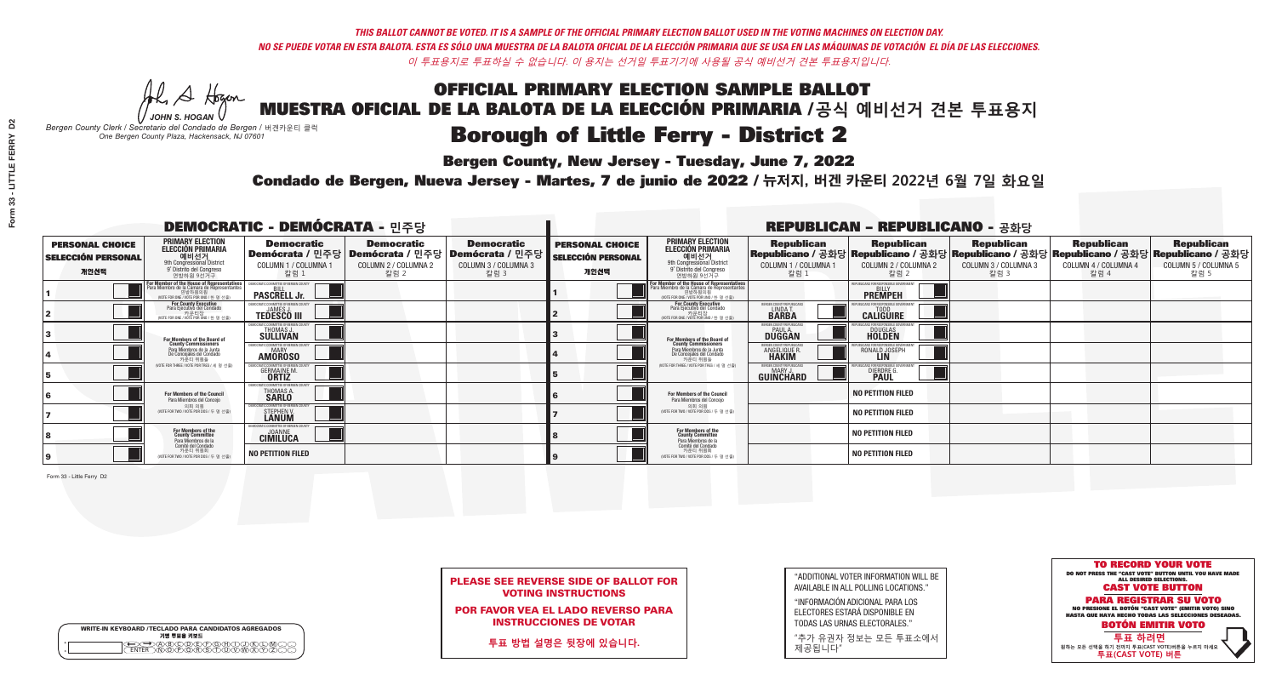### OFFICIAL PRIMARY ELECTION SAMPLE BALLOT MUESTRA OFICIAL DE LA BALOTA DE LA ELECCIÓN PRIMARIA /**공식 예비선거 견본 투표용지 Borough of Little Ferry - District 2**

A Hogen

**Bergen County, New Jersey - Tuesday, June 7, 2022** 

| <b>WRITE-IN KEYBOARD /TECLADO PARA CANDIDATOS AGREGADOS</b><br>기명 투표용 키보드 |  |
|---------------------------------------------------------------------------|--|
| >ABODE\F\G\A\T<br><u>እጅአል አል</u>                                          |  |

*JOHN S. HOGAN*

*Bergen County Clerk / Secretario del Condado de Bergen /* 버겐카운티 클럭 *One Bergen County Plaza, Hackensack, NJ 07601*

Condado de Bergen, Nueva Jersey - Martes, 7 de junio de 2022 / 뉴저지, 버겐 카운티 2022년 6월 7일 화요일 *One Bergen County Plaza, Hackensack, NJ 07601*



|  | <b>PLEASE SEE REVERSE SIDE OF BALLOT FOR</b> |  |  |
|--|----------------------------------------------|--|--|
|  | <b>VOTING INSTRUCTIONS</b>                   |  |  |

POR FAVOR VEA EL LADO REVERSO PARA INSTRUCCIONES DE VOTAR

**투표 방법 설명은 뒷장에 있습니다.**

"ADDITIONAL VOTER INFORMATION WILL BE AVAILABLE IN ALL POLLING LOCATIONS."

"INFORMACIÓN ADICIONAL PARA LOS ELECTORES ESTARÁ DISPONIBLE EN TODAS LAS URNAS ELECTORALES."

"추가 유권자 정보는 모든 투표소에서 제공됩니다"

| <b>DEMOCRATIC - DEMÓCRATA - 민주당</b>                         |                                                                                                                                    |                                                                            |                                                   |                                                                                                        |                                                             |                                                                                                                                               |                                                            | <b>REPUBLICAN - REPUBLICANO - 공화당</b>                                                                                                          |                                                   |                                                   |                                                   |
|-------------------------------------------------------------|------------------------------------------------------------------------------------------------------------------------------------|----------------------------------------------------------------------------|---------------------------------------------------|--------------------------------------------------------------------------------------------------------|-------------------------------------------------------------|-----------------------------------------------------------------------------------------------------------------------------------------------|------------------------------------------------------------|------------------------------------------------------------------------------------------------------------------------------------------------|---------------------------------------------------|---------------------------------------------------|---------------------------------------------------|
| <b>PERSONAL CHOICE</b><br><b>SELECCIÓN PERSONAL</b><br>개인선택 | <b>PRIMARY ELECTION</b><br><b>ELECCIÓN PRIMARIA</b><br>예비선거<br>9th Congressional District<br>9° Distrito del Congreso<br>연방하원 9선거구 | <b>Democratic</b><br>COLUMN 1 / COLUMNA 1<br>칼럼 1                          | <b>Democratic</b><br>COLUMN 2 / COLUMNA 2<br>칼럼 2 | <b>Democratic</b><br>│Demócrata / 민주당│Demócrata / 민주당│Demócrata / 민주당│<br>COLUMN 3 / COLUMNA 3<br>칼럼 3 | <b>PERSONAL CHOICE</b><br><b>SELECCIÓN PERSONAL</b><br>개인선택 | <b>PRIMARY ELECTION</b><br><b>ELECCIÓN PRIMARIA</b><br>예비선거<br>9th Congressional District<br>9° Distrito del Congreso<br>연방하원 9선거구            | <b>Republican</b><br>COLUMN 1 / COLUMNA 1<br>칼럼            | <b>Republican</b><br>Republicano / 공화당 Republicano / 공화당 Republicano / 공화당 Republicano / 공화당 Republicano / 공화당<br>COLUMN 2 / COLUMNA 2<br>칼럼 2 | <b>Republican</b><br>COLUMN 3 / COLUMNA 3<br>칼럼 3 | <b>Republican</b><br>COLUMN 4 / COLUMNA 4<br>칼럼 4 | <b>Republican</b><br>COLUMN 5 / COLUMNA 5<br>칼럼 5 |
|                                                             | For Member of the House of Representatives<br>Para Miembro de la Cámara de Representantes                                          | <b>PASCRELL Jr.</b>                                                        |                                                   |                                                                                                        |                                                             | For Member of the House of Representatives<br>Para Miembro de la Cámara de Representantes<br>연방하원의원<br>(VOTE FOR ONE / VOTE POR UNO / 한 명 선출) |                                                            | <b>EPUBLICANS FOR RESPONSIBLE GOVERNMEN</b><br><b>PREMPEH</b>                                                                                  |                                                   |                                                   |                                                   |
|                                                             | <b>For County Executive</b><br>Para Ejecutivo del Condado<br>가운티장<br>(VOTE FOR ONE / VOTE POR UNO / 한 명 선출)                        | <b>EMOCRATIC COMMITTEE OF BERGEN COUNT</b><br><b>TEDESCO III</b>           |                                                   |                                                                                                        |                                                             | <b>For County Executive</b><br>Para Ejecutivo del Condado<br>MOTE FOR ONE / VOTE POR UNO / 하 명 선축                                             | BERGEN COUNTY REPUBLICAN<br>LINDA T.                       | <b>CALIGUIRE</b>                                                                                                                               |                                                   |                                                   |                                                   |
|                                                             | <b>For Members of the Board of<br/>County Commissioners</b>                                                                        | MOCRATIC COMMITTEE OF BERGEN COUNTY<br><b>THOMAS J.</b><br><b>SULLIVAN</b> |                                                   |                                                                                                        |                                                             | For Members of the Board of<br>County Commissioners                                                                                           | ERGEN COUNTY REPUBLICAN<br><b>PAUL A.</b><br><b>DUGGAN</b> | <b>DOUGLAS</b><br><b>HOLDEN</b>                                                                                                                |                                                   |                                                   |                                                   |
|                                                             | Para Miembros de la Junta<br>De Concejales del Condado<br>카운티 위원들                                                                  | EMOCRATIC COMMITTEE OF BERGEN COUNTY<br><b>AMOROSO</b>                     |                                                   |                                                                                                        |                                                             | Para Miembros de la Junta<br>De Concejales del Condado<br>카운티 위원들                                                                             | ERGEN COUNTY REPUBLICAN<br>ANGELIQUE R                     | RONALD JOSEPH<br><b>LIN</b>                                                                                                                    |                                                   |                                                   |                                                   |
|                                                             | NOTE FOR THREE / VOTE POR TRES / 세 명 선출                                                                                            | ATIC COMMITTEE OF BERGEN COUNT<br><b>GERMAINE M.</b>                       |                                                   |                                                                                                        |                                                             | (VOTE FOR THREE / VOTE POR TRES / 세 명 선출)                                                                                                     | ERGEN COUNTY REPUBLICANS<br>MARY J.<br>GUINCHARD           | DIERDRE G                                                                                                                                      |                                                   |                                                   |                                                   |
|                                                             | For Members of the Council<br>Para Miembros del Conceio                                                                            | MOCRATIC COMMITTEE OF BERGEN COUNTY<br>THOMAS A.<br><b>SARLO</b>           |                                                   |                                                                                                        |                                                             | <b>For Members of the Council</b><br>Para Miembros del Conceio                                                                                |                                                            | <b>NO PETITION FILED</b>                                                                                                                       |                                                   |                                                   |                                                   |
|                                                             | 의회 의원<br>(VOTE FOR TWO / VOTE POR DOS / 두 명 선출)                                                                                    | CRATIC COMMITTEE OF BERGEN COUNT<br>STEPHEN V.<br><b>LANUM</b>             |                                                   |                                                                                                        |                                                             | 의회 의원<br>(VOTE FOR TWO / VOTE POR DOS / 두 명 선출)                                                                                               |                                                            | <b>NO PETITION FILED</b>                                                                                                                       |                                                   |                                                   |                                                   |
|                                                             | For Members of the<br>County Committee<br>Para Miembros de la                                                                      | MOCRATIC COMMITTEE OF RERGEN<br><b>JOANNE</b><br>CIMILUCA                  |                                                   |                                                                                                        |                                                             | For Members of the<br>County Committee<br>Para Miembros de la<br>Comité del Condado                                                           |                                                            | <b>NO PETITION FILED</b>                                                                                                                       |                                                   |                                                   |                                                   |
|                                                             | Comité del Condado<br>카운티 위원회<br>(VOTE FOR TWO / VOTE POR DOS / 두 명 선출)                                                            | <b>NO PETITION FILED</b>                                                   |                                                   |                                                                                                        |                                                             | 카운티 위원회<br>(VOTE FOR TWO / VOTE POR DOS / 두 명 선출)                                                                                             |                                                            | <b>NO PETITION FILED</b>                                                                                                                       |                                                   |                                                   |                                                   |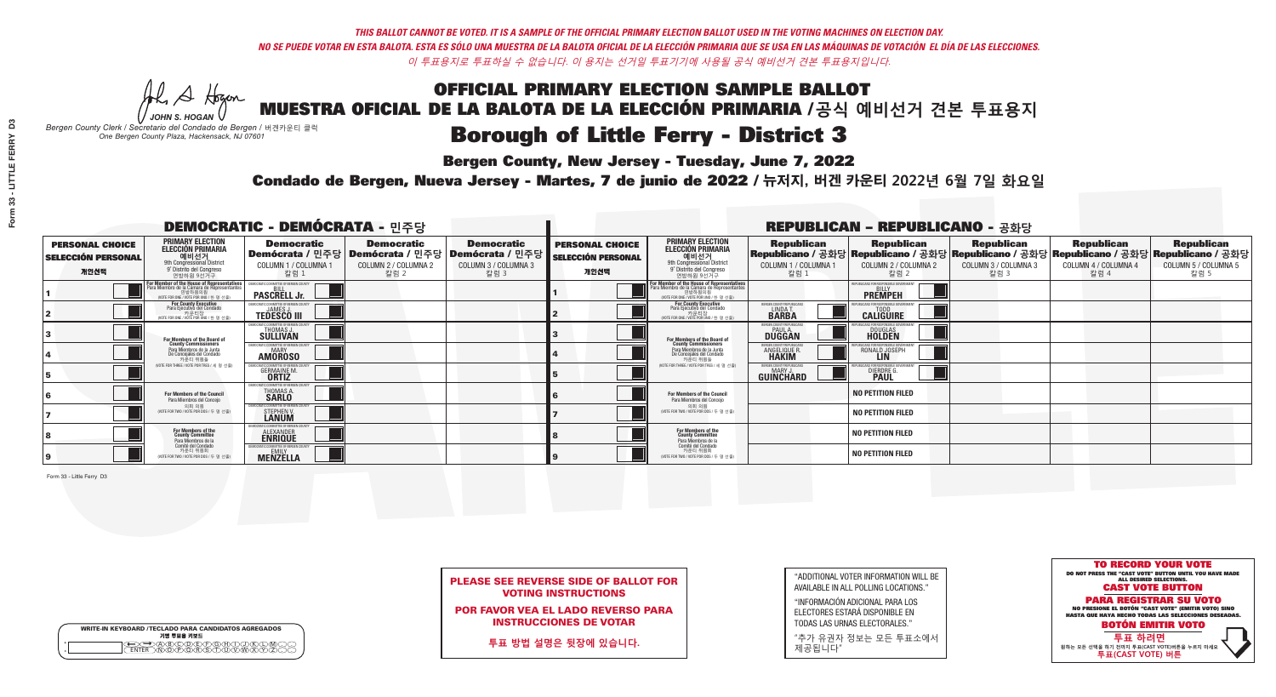### OFFICIAL PRIMARY ELECTION SAMPLE BALLOT MUESTRA OFICIAL DE LA BALOTA DE LA ELECCIÓN PRIMARIA /**공식 예비선거 견본 투표용지 Borough of Little Ferry - District 3**

A Hogen

**Bergen County, New Jersey - Tuesday, June 7, 2022** 

| <b>WRITE-IN KEYBOARD /TECLADO PARA CANDIDATOS AGREGADOS</b><br>기명 투표용 키보드 |  |
|---------------------------------------------------------------------------|--|
| <del>QO</del> @@@@@@@@@QQ@<br>NTER_\N\@@@@R\\$\T\U\V\W\X                  |  |

*JOHN S. HOGAN*

*Bergen County Clerk / Secretario del Condado de Bergen /* 버겐카운티 클럭 *One Bergen County Plaza, Hackensack, NJ 07601*

Condado de Bergen, Nueva Jersey - Martes, 7 de junio de 2022 / 뉴저지, 버겐 카운티 2022년 6월 7일 화요일 *One Bergen County Plaza, Hackensack, NJ 07601*



PLEASE SEE REVERSE SIDE OF BALLOT FOR VOTING INSTRUCTIONS

POR FAVOR VEA EL LADO REVERSO PARA INSTRUCCIONES DE VOTAR

**투표 방법 설명은 뒷장에 있습니다.**

"ADDITIONAL VOTER INFORMATION WILL BE AVAILABLE IN ALL POLLING LOCATIONS."

"INFORMACIÓN ADICIONAL PARA LOS ELECTORES ESTARÁ DISPONIBLE EN TODAS LAS URNAS ELECTORALES."

"추가 유권자 정보는 모든 투표소에서 제공됩니다"

|                                                             |                                                                                                                                               | <b>DEMOCRATIC - DEMÓCRATA - 민주당</b>                                                                    |                                                   |                                                   |                                                             |                                                                                                                                            |                                                              | <b>REPUBLICAN - REPUBLICANO - 공화당</b>                                                                                                          |                                            |                                                   |                                                   |
|-------------------------------------------------------------|-----------------------------------------------------------------------------------------------------------------------------------------------|--------------------------------------------------------------------------------------------------------|---------------------------------------------------|---------------------------------------------------|-------------------------------------------------------------|--------------------------------------------------------------------------------------------------------------------------------------------|--------------------------------------------------------------|------------------------------------------------------------------------------------------------------------------------------------------------|--------------------------------------------|---------------------------------------------------|---------------------------------------------------|
| <b>PERSONAL CHOICE</b><br><b>SELECCIÓN PERSONAL</b><br>개인선택 | <b>PRIMARY ELECTION</b><br><b>ELECCIÓN PRIMARIA</b><br>예비선거<br><sup>9th</sup> Congressional District<br>9° Distrito del Congreso<br>연방하원 9선거구 | <b>Democratic</b><br>Demócrata / 민주당 Demócrata / 민주당 Demócrata / 민주당 D<br>COLUMN 1 / COLUMNA 1<br>칼럼 : | <b>Democratic</b><br>COLUMN 2 / COLUMNA 2<br>칼럼 2 | <b>Democratic</b><br>COLUMN 3 / COLUMNA 3<br>칼럼 3 | <b>PERSONAL CHOICE</b><br><b>SELECCIÓN PERSONAL</b><br>개인선택 | <b>PRIMARY ELECTION</b><br>ELECCIÓN PRIMARIA<br>예비선거<br>9th Congressional District<br>9° Distrito del Congreso<br>연방하원 9선거구                | <b>Republican</b><br>COLUMN 1 / COLUMNA 1<br>칼럼              | <b>Republican</b><br>Republicano / 공화당 Republicano / 공화당 Republicano / 공화당 Republicano / 공화당 Republicano / 공화당<br>COLUMN 2 / COLUMNA 2<br>칼럼 2 | Republican<br>COLUMN 3 / COLUMNA 3<br>칼럼 3 | <b>Republican</b><br>COLUMN 4 / COLUMNA 4<br>칼럼 4 | <b>Republican</b><br>COLUMN 5 / COLUMNA 5<br>칼럼 5 |
|                                                             | or Member of the House of Representatives<br>ara Miembro de la Cámara de Representantes<br>연방하원의원<br>(VOTE FOR ONE / VOTE POR UNO / 한 명 선출)   | <b>PASCRELL Jr.</b>                                                                                    |                                                   |                                                   |                                                             | <b>For Member of the House of Representatives<br/>Para Miembro de la Cámara de Representantes</b><br>NOTE FOR ONE 7 VOTE POR UNO / 한 명 선출) |                                                              | <b>PREMPEH</b>                                                                                                                                 |                                            |                                                   |                                                   |
|                                                             | For County Executive<br>Para Ejecutivo del Condado<br>가운티장<br>(VOTE FOR ONE / VOTE POR UNO / 한 명 선출)                                          | <b>EMOCRATIC COMMITTEE OF BERGEN COUNT</b><br><b>TEDESCO III</b>                                       |                                                   |                                                   |                                                             | For County Executive<br>Para Ejecutivo del Condado<br>카운티장<br>(VOTE FOR ONE / VOTE POR UNO / 한 명 선출)                                       | ERGEN COUNTY REPUBLICA<br>LINDA <sub>T</sub><br><b>BARBA</b> | <b>CALIGUIRE</b>                                                                                                                               |                                            |                                                   |                                                   |
|                                                             | For Members of the Board of<br>County Commissioners                                                                                           | MOCRATIC COMMITTEE OF BERGEN COUNTY<br><b>THOMAS J.</b><br><b>SULLIVAN</b>                             |                                                   |                                                   |                                                             | For Members of the Board of<br>County Commissioners                                                                                        | ERGEN COUNTY REPUBLICAN<br><b>DUGGAN</b>                     | <b>DOUGLAS</b>                                                                                                                                 |                                            |                                                   |                                                   |
|                                                             | Para Miembros de la Junta<br>De Concejales del Condado<br>카운티 위원들                                                                             | MOCRATIC COMMITTEE OF BERGEN COUNTY<br><b>AMOROSO</b>                                                  |                                                   |                                                   |                                                             | Para Miembros de la Junta<br>De Concejales del Condado<br>카운티 위원들                                                                          | <b>RGEN COUNTY REPUBLICAN</b><br>ANGELIQUE R<br><b>HAKIM</b> | RONALD JOSEPH<br><b>LIN</b>                                                                                                                    |                                            |                                                   |                                                   |
|                                                             | NOTE FOR THREE / VOTE POR TRES / 세 명 선출                                                                                                       | ATIC COMMITTEE OF BERGEN COUN<br><b>GERMAINE M.</b><br><b>ORTIZ</b>                                    |                                                   |                                                   |                                                             | (VOTE FOR THREE / VOTE POR TRES / 세 명 선출)                                                                                                  | ERGEN COUNTY REPUBLICANS<br>MARY J<br><b>GUINCHARD</b>       | S FOR RESPONSIRI E I<br>DIERDRE G.                                                                                                             |                                            |                                                   |                                                   |
|                                                             | For Members of the Council<br>Para Miembros del Conceio                                                                                       | OCRATIC COMMITTEE OF BERGEN COUNTY<br>THOMAS A.<br><b>SARLO</b>                                        |                                                   |                                                   |                                                             | For Members of the Council<br>Para Miembros del Conceio                                                                                    |                                                              | <b>NO PETITION FILED</b>                                                                                                                       |                                            |                                                   |                                                   |
|                                                             | 의회 의원<br>(VOTE FOR TWO / VOTE POR DOS / 두 명 선출)                                                                                               | OCRATIC COMMITTEE OF BERGEN COUN<br>STEPHEN V.<br><b>LANUM</b>                                         |                                                   |                                                   |                                                             | 의회 의원<br>NOTE FOR TWO / VOTE POR DOS / 두 명 선출)                                                                                             |                                                              | <b>NO PETITION FILED</b>                                                                                                                       |                                            |                                                   |                                                   |
|                                                             | For Members of the<br>County Committee<br>Para Miembros de la                                                                                 | ALEXANDER<br><b>ENRIQUE</b>                                                                            |                                                   |                                                   |                                                             | For Members of the<br>County Committee<br>Para Miembros de la<br>Comité del Condado                                                        |                                                              | <b>NO PETITION FILED</b>                                                                                                                       |                                            |                                                   |                                                   |
| 9                                                           | Comité del Condado<br>카운티 위원회<br>(VOTE FOR TWO / VOTE POR DOS / 두 명 선출)                                                                       | <b>EMOCRATIC COMMITTEE OF BERGEN CI</b><br><b>MENZELLA</b>                                             |                                                   |                                                   |                                                             | 카운티 위원회<br>WOTE FOR TWO / VOTE POR DOS / 두 명 선출)                                                                                           |                                                              | <b>NO PETITION FILED</b>                                                                                                                       |                                            |                                                   |                                                   |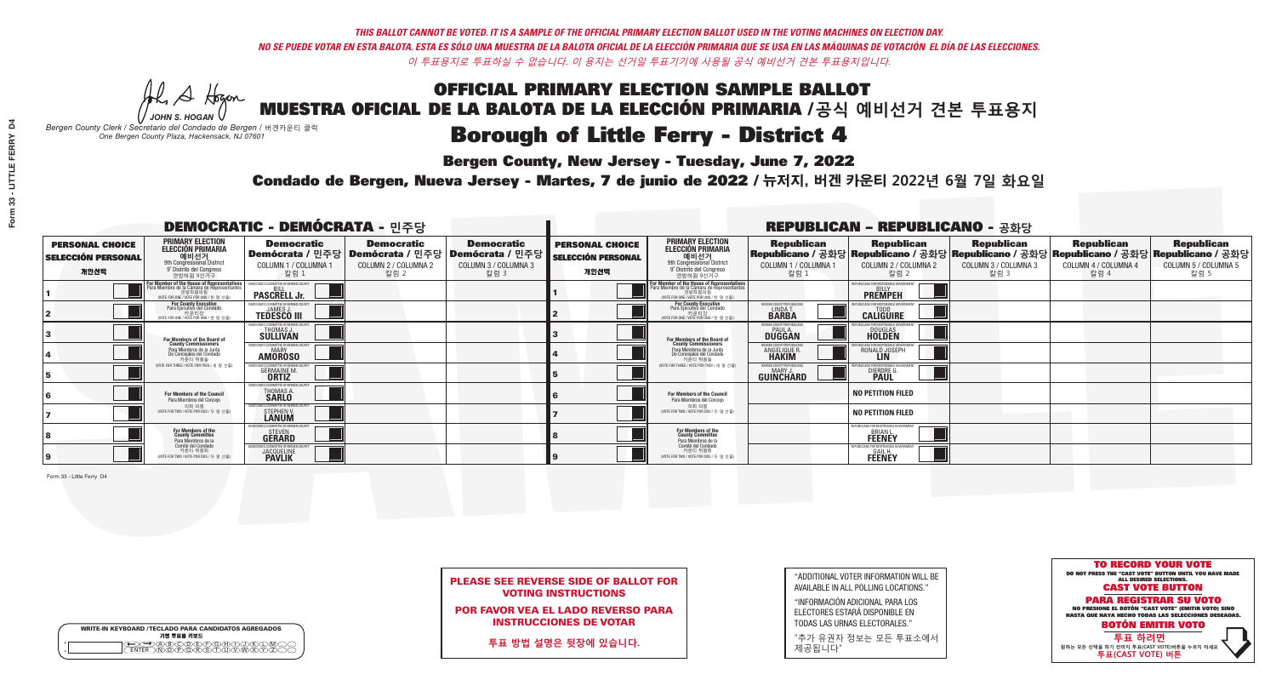A Hogen

| <b>WRITE-IN KEYBOARD /TECLADO PARA CANDIDATOS AGREGADOS</b><br>기명 투표용 키보드 |  |
|---------------------------------------------------------------------------|--|
| YOODEYEYBAN<br>o<br>$\circ$                                               |  |

## OFFICIAL PRIMARY ELECTION SAMPLE BALLOT

MUESTRA OFICIAL DE LA BALOTA DE LA ELECCIÓN PRIMARIA /**공식 예비선거 견본 투표용지** *JOHN S. HOGAN*

*Bergen County Clerk / Secretario del Condado de Bergen /* 버겐카운티 클럭 *One Bergen County Plaza, Hackensack, NJ 07601*

### Borough of Little Ferry - District 4

**Bergen County, New Jersey - Tuesday, June 7, 2022** 



PLEASE SEE REVERSE SIDE OF BALLOT FOR VOTING INSTRUCTIONS

POR FAVOR VEA EL LADO REVERSO PARA INSTRUCCIONES DE VOTAR

**투표 방법 설명은 뒷장에 있습니다.**

"ADDITIONAL VOTER INFORMATION WILL BE AVAILABLE IN ALL POLLING LOCATIONS."

"INFORMACIÓN ADICIONAL PARA LOS ELECTORES ESTARÁ DISPONIBLE EN TODAS LAS URNAS ELECTORALES."

"추가 유권자 정보는 모든 투표소에서 제공됩니다"

Condado de Bergen, Nueva Jersey - Martes, 7 de junio de 2022 / 뉴저지, 버겐 카운티 2022년 6월 7일 화요일 *One Bergen County Plaza, Hackensack, NJ 07601*

|                                                             |                                                                                                                                               | <b>DEMOCRATIC - DEMÓCRATA - 민주당</b>                             |                                                                                                       |                                                   |                                                             |                                                                                                                                               |                                                           | <b>REPUBLICAN - REPUBLICANO - 공화당</b>                                 |                                                   |                                                   |                                                                                                                                                |
|-------------------------------------------------------------|-----------------------------------------------------------------------------------------------------------------------------------------------|-----------------------------------------------------------------|-------------------------------------------------------------------------------------------------------|---------------------------------------------------|-------------------------------------------------------------|-----------------------------------------------------------------------------------------------------------------------------------------------|-----------------------------------------------------------|-----------------------------------------------------------------------|---------------------------------------------------|---------------------------------------------------|------------------------------------------------------------------------------------------------------------------------------------------------|
| <b>PERSONAL CHOICE</b><br><b>SELECCIÓN PERSONAL</b><br>개인선택 | PRIMARY ELECTION<br>ELECCIÓN PRIMARIA<br>예비선거<br><sup>9th</sup> Congressional District<br><sup>9°</sup> Distrito del Conareso<br>연방하원 9선거구    | <b>Democratic</b><br>COLUMN 1 / COLUMNA 1<br>칼럼 1               | <b>Democratic</b><br>│Demócrata / 민주당│Demócrata / 민주당│Demócrata / 민주당<br>COLUMN 2 / COLUMNA 2<br>칼럼 2 | <b>Democratic</b><br>COLUMN 3 / COLUMNA 3<br>칼럼 3 | <b>PERSONAL CHOICE</b><br><b>SELECCIÓN PERSONAL</b><br>개인선택 | <b>PRIMARY ELECTION</b><br>ELECCIÓN PRIMARIA<br>9th Congressional District<br>9° Distrito del Congreso<br>연방하원 9선거구                           | <b>Republican</b><br>COLUMN 1 / COLUMNA 1<br>칼럼           | <b>Republican</b><br>COLUMN 2 / COLUMNA 2<br>칼럼 2                     | <b>Republican</b><br>COLUMN 3 / COLUMNA 3<br>칼럼 3 | <b>Republican</b><br>COLUMN 4 / COLUMNA 4<br>칼럼 4 | <b>Republican</b><br>Republicano / 공화당 Republicano / 공화당 Republicano / 공화당 Republicano / 공화당 Republicano / 공화당<br>COLUMN 5 / COLUMNA 5<br>칼럼 5 |
|                                                             | For Member of the House of Representatives<br>Para Miembro de la Cámara de Representantes<br>연방하원의원<br>(VOTE FOR ONE / VOTE POR UNO / 한 명 선출) | <b>PASCRELL Jr.</b>                                             |                                                                                                       |                                                   |                                                             | For Member of the House of Representatives<br>Para Miembro de la Cámara de Representantes<br>연방하원의원<br>(VOTE FOR ONE / VOTE POR UNO / 한 명 선출) |                                                           | <b>PREMPEH</b>                                                        |                                                   |                                                   |                                                                                                                                                |
|                                                             | For County Executive<br>Para Ejecutivo del Condado<br>WOTE FOR ONE / VOTE POR UNO / 한 명 선출)                                                   | <b>TEDESCO III</b>                                              |                                                                                                       |                                                   |                                                             | For County Executive<br>Para Ejecutivo del Condado<br>키운티상<br>(VOTE FOR ONE / VOTE POR UNO / 한 명 선출)                                          | ERGEN COUNTY REPUBLICAN<br>LINDA T.                       | <b>CALIGUIRE</b>                                                      |                                                   |                                                   |                                                                                                                                                |
|                                                             | For Members of the Board of<br>County Commissioners                                                                                           | <b>THOMAS J.</b><br><b>SULLIVAN</b>                             |                                                                                                       |                                                   |                                                             | For Members of the Board of<br>County Commissioners                                                                                           | ERGEN COUNTY REPUBLICA<br><b>PAUL A.</b><br><b>DUGGAN</b> | <b>DOUGLAS</b>                                                        |                                                   |                                                   |                                                                                                                                                |
|                                                             | Para Miembros de la Junta<br>De Concejales del Condado<br>카운티 위원들                                                                             | <b>10CRATIC COMMITTEE OF BERGEN COUNTY</b><br><b>AMOROSO</b>    |                                                                                                       |                                                   |                                                             | Para Miembros de la Junta<br>De Concejales del Condado<br>카우티 위원들                                                                             | ERGEN COUNTY REPUBLICAN<br><b>ANGELIQUE F</b>             | RONALD JOSEPH                                                         |                                                   |                                                   |                                                                                                                                                |
|                                                             | NOTE FOR THREE / VOTE POR TRES / 세 명 선출)                                                                                                      | TIC COMMITTEE OF BERGEN (<br><b>GERMAINE M.</b><br><b>ORTIZ</b> |                                                                                                       |                                                   |                                                             | NOTE FOR THREE / VOTE POR TRES / 세 명 선출)                                                                                                      | ERGEN COUNTY REPUBLICANS<br>MARY J<br>GUINCHARD           | DIERDRE G                                                             |                                                   |                                                   |                                                                                                                                                |
|                                                             | For Members of the Council<br>Para Miembros del Conceio                                                                                       | TIC COMMITTEE OF BERGEN<br>THOMAS A.<br><b>SARLO</b>            |                                                                                                       |                                                   |                                                             | <b>For Members of the Council</b><br>Para Miembros del Conceio                                                                                |                                                           | <b>NO PETITION FILED</b>                                              |                                                   |                                                   |                                                                                                                                                |
|                                                             | 의회 의워<br>(VOTE FOR TWO / VOTE POR DOS / 두 명 선출)                                                                                               | <b>MOCRATIC COMMITTEE OF BERGEN COUN</b><br>STEPHEN V.          |                                                                                                       |                                                   |                                                             | 의회 의원<br>(VOTE FOR TWO / VOTE POR DOS / 두 명 선출)                                                                                               |                                                           | <b>NO PETITION FILED</b>                                              |                                                   |                                                   |                                                                                                                                                |
|                                                             | For Members of the<br>County Committee<br>Para Miembros de la<br>Comité del Condado                                                           | TIC COMMITTEE OF BERGEN (<br><b>STEVEN</b><br><b>GERARD</b>     |                                                                                                       |                                                   |                                                             | For Members of the<br>County Committee<br>Para Miembros de la<br>Comité del Condado                                                           |                                                           | PUBLICANS FOR RESPONSIBLE GOVERNME<br><b>BRIAN L</b><br><b>FEENEY</b> |                                                   |                                                   |                                                                                                                                                |
|                                                             | 카운티 위원회<br>(VOTE FOR TWO / VOTE POR DOS / 두 명 선출)                                                                                             | ATIC COMMITTEE OF BERGEN C<br><b>JACQUELINE</b>                 |                                                                                                       |                                                   |                                                             | 카운티 위원회<br>(VOTE FOR TWO / VOTE POR DOS / 두 명 선출)                                                                                             |                                                           | PUBLICANS FOR RESPONSIBLE GI<br><b>FEENEY</b>                         |                                                   |                                                   |                                                                                                                                                |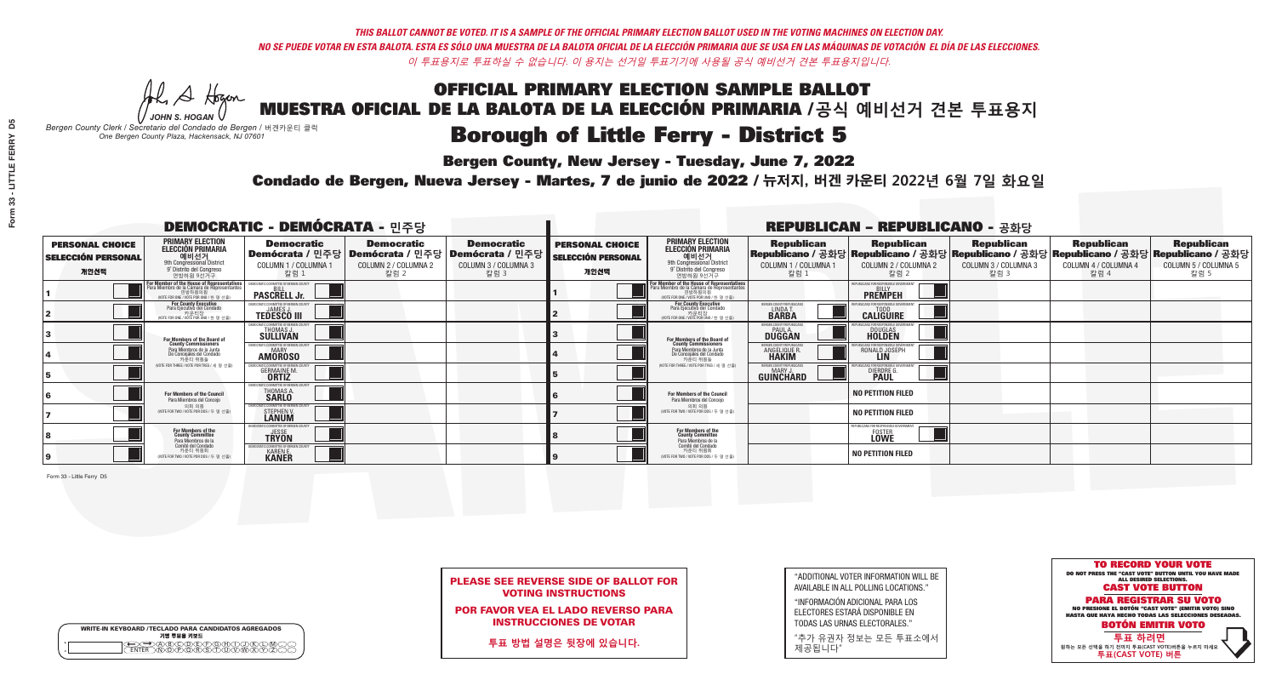A Hogen

|         | <b>WRITE-IN KEYBOARD /TECLADO PARA CANDIDATOS AGREGADOS</b><br>기명 투표용 키보드 |
|---------|---------------------------------------------------------------------------|
| ٥       | .)(B)C)(D)(E)(F)(G)(H)(                                                   |
| $\circ$ | <u>፝ዀፙቑ፝፠ዾ</u>                                                            |

### OFFICIAL PRIMARY ELECTION SAMPLE BALLOT MUESTRA OFICIAL DE LA BALOTA DE LA ELECCIÓN PRIMARIA /**공식 예비선거 견본 투표용지**

*JOHN S. HOGAN*

*Bergen County Clerk / Secretario del Condado de Bergen /* 버겐카운티 클럭 *One Bergen County Plaza, Hackensack, NJ 07601*

### **Borough of Little Ferry - District 5**

**Bergen County, New Jersey - Tuesday, June 7, 2022** 

Condado de Bergen, Nueva Jersey - Martes, 7 de junio de 2022 / 뉴저지, 버겐 카운티 2022년 6월 7일 화요일 *One Bergen County Plaza, Hackensack, NJ 07601*



PLEASE SEE REVERSE SIDE OF BALLOT FOR VOTING INSTRUCTIONS

POR FAVOR VEA EL LADO REVERSO PARA INSTRUCCIONES DE VOTAR

**투표 방법 설명은 뒷장에 있습니다.**

"ADDITIONAL VOTER INFORMATION WILL BE AVAILABLE IN ALL POLLING LOCATIONS."

"INFORMACIÓN ADICIONAL PARA LOS ELECTORES ESTARÁ DISPONIBLE EN TODAS LAS URNAS ELECTORALES."

"추가 유권자 정보는 모든 투표소에서 제공됩니다"

|                                                             |                                                                                                                                               | <b>DEMOCRATIC - DEMÓCRATA - 민주당</b>                                                                    |                                                   |                                                   |                                                             |                                                                                                                                    |                                                              | <b>REPUBLICAN - REPUBLICANO - 공화당</b>                |                                                   |                                                                                                                                                |                                                   |
|-------------------------------------------------------------|-----------------------------------------------------------------------------------------------------------------------------------------------|--------------------------------------------------------------------------------------------------------|---------------------------------------------------|---------------------------------------------------|-------------------------------------------------------------|------------------------------------------------------------------------------------------------------------------------------------|--------------------------------------------------------------|------------------------------------------------------|---------------------------------------------------|------------------------------------------------------------------------------------------------------------------------------------------------|---------------------------------------------------|
| <b>PERSONAL CHOICE</b><br><b>SELECCIÓN PERSONAL</b><br>개인선택 | <b>PRIMARY ELECTION</b><br><b>ELECCIÓN PRIMARIA</b><br>예비선거<br><sup>9th</sup> Congressional District<br>9° Distrito del Congreso<br>연방하원 9선거구 | <b>Democratic</b><br>│Demócrata / 민주당│Demócrata / 민주당│Demócrata / 민주당┃<br>COLUMN 1 / COLUMNA 1<br>칼럼 : | <b>Democratic</b><br>COLUMN 2 / COLUMNA 2<br>칼럼 2 | <b>Democratic</b><br>COLUMN 3 / COLUMNA 3<br>칼럼 3 | <b>PERSONAL CHOICE</b><br><b>SELECCIÓN PERSONAL</b><br>개인선택 | <b>PRIMARY ELECTION</b><br>ELECCIÓN PRIMARIA<br>예비선거<br>9th Congressional District<br>9° Distrito del Congreso<br>연방하원 9선거구        | <b>Republican</b><br>COLUMN 1 / COLUMNA 1<br>칼럼              | <b>Republican</b><br>COLUMN 2 / COLUMNA 2<br>칼럼 2    | <b>Republican</b><br>COLUMN 3 / COLUMNA 3<br>칼럼 3 | <b>Republican</b><br>Republicano / 공화당 Republicano / 공화당 Republicano / 공화당 Republicano / 공화당 Republicano / 공화당<br>COLUMN 4 / COLUMNA 4<br>칼럼 4 | <b>Republican</b><br>COLUMN 5 / COLUMNA 5<br>칼럼 5 |
|                                                             | or Member of the House of Representatives<br>ara Miembro de la Cámara de Representantes<br>연방하원의원<br>(VOTE FOR ONE / VOTE POR UNO / 한 명 선출)   | <b>PASCRELL Jr.</b>                                                                                    |                                                   |                                                   |                                                             | For Member of the House of Representatives<br>Para Miembro de la Cámara de Representantes<br>WOTE FOR ONE / VOTE POR UNO / 한 명 선출) |                                                              | PUBLICANS FOR RESPONSIBLE GOVERN<br><b>PREMPEH</b>   |                                                   |                                                                                                                                                |                                                   |
|                                                             | For County Executive<br>Para Ejecutivo del Condado<br>가운티장<br>(VOTE FOR ONE / VOTE POR UNO / 한 명 선출)                                          | <b>EMOCRATIC COMMITTEE OF BERGEN COUNT</b><br><b>TEDESCO III</b>                                       |                                                   |                                                   |                                                             | For County Executive<br>Para Ejecutivo del Condado<br>카운티장<br>(VOTE FOR ONE / VOTE POR UNO / 한 명 선출)                               | ERGEN COUNTY REPUBLICAN<br>LINDA T.                          | <b>CALIGUIRE</b>                                     |                                                   |                                                                                                                                                |                                                   |
|                                                             | <b>For Members of the Board of<br/>County Commissioners</b>                                                                                   | MOCRATIC COMMITTEE OF BERGEN COUNTY<br><b>THOMAS J.</b><br><b>SULLIVAN</b>                             |                                                   |                                                   |                                                             | For Members of the Board of<br>County Commissioners                                                                                | ERGEN COUNTY REPUBLICAN<br><b>DUGGAN</b>                     | <b>DOUGLAS</b>                                       |                                                   |                                                                                                                                                |                                                   |
|                                                             | Para Miembros de la Junta<br>De Concejales del Condado<br>카운티 위원들                                                                             | <b>IMOCRATIC COMMITTEE OF BERGEN COUNTY</b><br><b>AMOROSO</b>                                          |                                                   |                                                   |                                                             | Para Miembros de la Junta<br>De Concejales del Condado<br>카우티 위원들                                                                  | <b>RGEN COUNTY REPUBLICAN</b><br>ANGELIQUE R<br><b>HAKIM</b> | RONALD JOSEPH<br><b>LIN</b>                          |                                                   |                                                                                                                                                |                                                   |
|                                                             | NOTE FOR THREE / VOTE POR TRES / 세 명 선출                                                                                                       | ATIC COMMITTEE OF BERGEN COUN<br><b>GERMAINE M.</b>                                                    |                                                   |                                                   |                                                             | (VOTE FOR THREE / VOTE POR TRES / 세 명 선출)                                                                                          | ERGEN COUNTY REPUBLICANS<br>MARY J.<br>GUINCHARD             | FOR RESPONSIBLE G<br>DIERDRE G                       |                                                   |                                                                                                                                                |                                                   |
|                                                             | For Members of the Council<br>Para Miembros del Conceio                                                                                       | OCRATIC COMMITTEE OF BERGEN COUNTY<br>THOMAS A.<br><b>SARLO</b>                                        |                                                   |                                                   |                                                             | For Members of the Council<br>Para Miembros del Conceio                                                                            |                                                              | <b>NO PETITION FILED</b>                             |                                                   |                                                                                                                                                |                                                   |
|                                                             | 의회 의원<br>(VOTE FOR TWO / VOTE POR DOS / 두 명 선출)                                                                                               | OCRATIC COMMITTEE OF BERGEN COUN'<br>STEPHEN V.<br><b>LANUM</b>                                        |                                                   |                                                   |                                                             | 의회 의원<br>NOTE FOR TWO / VOTE POR DOS / 두 명 선출)                                                                                     |                                                              | <b>NO PETITION FILED</b>                             |                                                   |                                                                                                                                                |                                                   |
|                                                             | For Members of the<br>County Committee<br>Para Miembros de la                                                                                 | MOCRATIC COMMUTTEE OF RERGI<br><b>TRYON</b>                                                            |                                                   |                                                   |                                                             | For Members of the<br>County Committee<br>Para Miembros de la<br>Comité del Condado                                                |                                                              | REPUBLICANS FOR RESPONSIBLE GOVERNMEN<br><b>LOWE</b> |                                                   |                                                                                                                                                |                                                   |
| 19                                                          | Comité del Condado<br>카운티 위원회<br>(VOTE FOR TWO / VOTE POR DOS / 두 명 선출)                                                                       | EMOCRATIC COMMITTEE OF BERGEN COUNT<br><b>KAREN E.</b><br><b>KANER</b>                                 |                                                   |                                                   |                                                             | 카운티 위원회<br>NOTE FOR TWO / VOTE POR DOS / 두 명 선출)                                                                                   |                                                              | <b>NO PETITION FILED</b>                             |                                                   |                                                                                                                                                |                                                   |